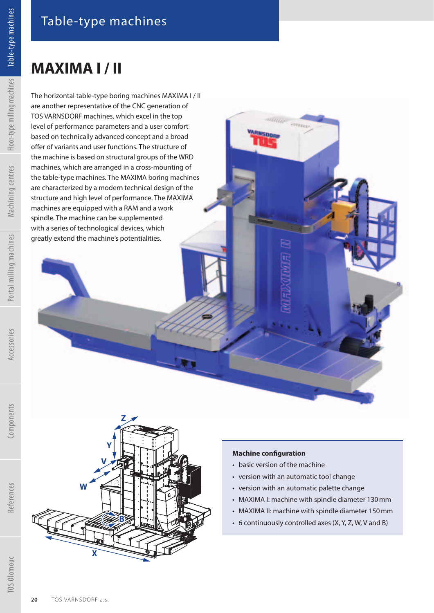## **MAXIMA I / II**

The horizontal table-type boring machines MAXIMA I / II are another representative of the CNC generation of TOS VARNSDORF machines, which excel in the top level of performance parameters and a user comfort based on technically advanced concept and a broad offer of variants and user functions. The structure of the machine is based on structural groups of the WRD machines, which are arranged in a cross-mounting of the table-type machines. The MAXIMA boring machines are characterized by a modern technical design of the structure and high level of performance. The MAXIMA machines are equipped with a RAM and a work spindle. The machine can be supplemented with a series of technological devices, which greatly extend the machine's potentialities.



## **Machine configuration**

Witte.

**ARNSDORF** 

- basic version of the machine
- version with an automatic tool change
- version with an automatic palette change
- MAXIMA I: machine with spindle diameter 130 mm
- MAXIMA II: machine with spindle diameter 150 mm
- 6 continuously controlled axes (X, Y, Z, W, V and B)

References